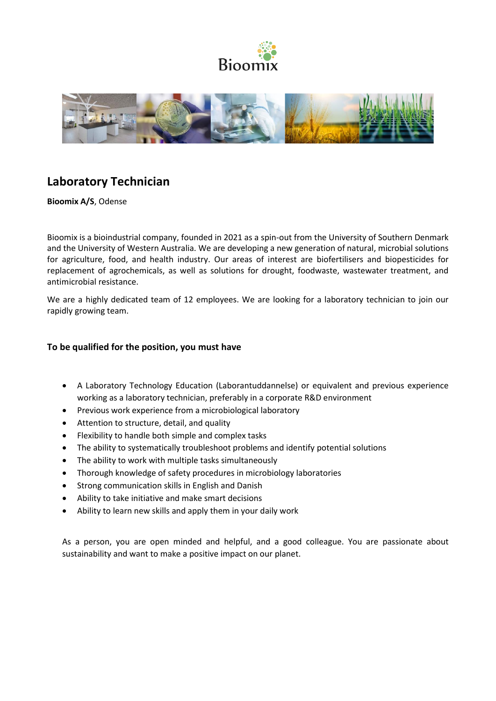



# **Laboratory Technician**

**Bioomix A/S**, Odense

Bioomix is a bioindustrial company, founded in 2021 as a spin-out from the University of Southern Denmark and the University of Western Australia. We are developing a new generation of natural, microbial solutions for agriculture, food, and health industry. Our areas of interest are biofertilisers and biopesticides for replacement of agrochemicals, as well as solutions for drought, foodwaste, wastewater treatment, and antimicrobial resistance.

We are a highly dedicated team of 12 employees. We are looking for a laboratory technician to join our rapidly growing team.

## **To be qualified for the position, you must have**

- A Laboratory Technology Education (Laborantuddannelse) or equivalent and previous experience working as a laboratory technician, preferably in a corporate R&D environment
- Previous work experience from a microbiological laboratory
- Attention to structure, detail, and quality
- Flexibility to handle both simple and complex tasks
- The ability to systematically troubleshoot problems and identify potential solutions
- The ability to work with multiple tasks simultaneously
- Thorough knowledge of safety procedures in microbiology laboratories
- Strong communication skills in English and Danish
- Ability to take initiative and make smart decisions
- Ability to learn new skills and apply them in your daily work

As a person, you are open minded and helpful, and a good colleague. You are passionate about sustainability and want to make a positive impact on our planet.